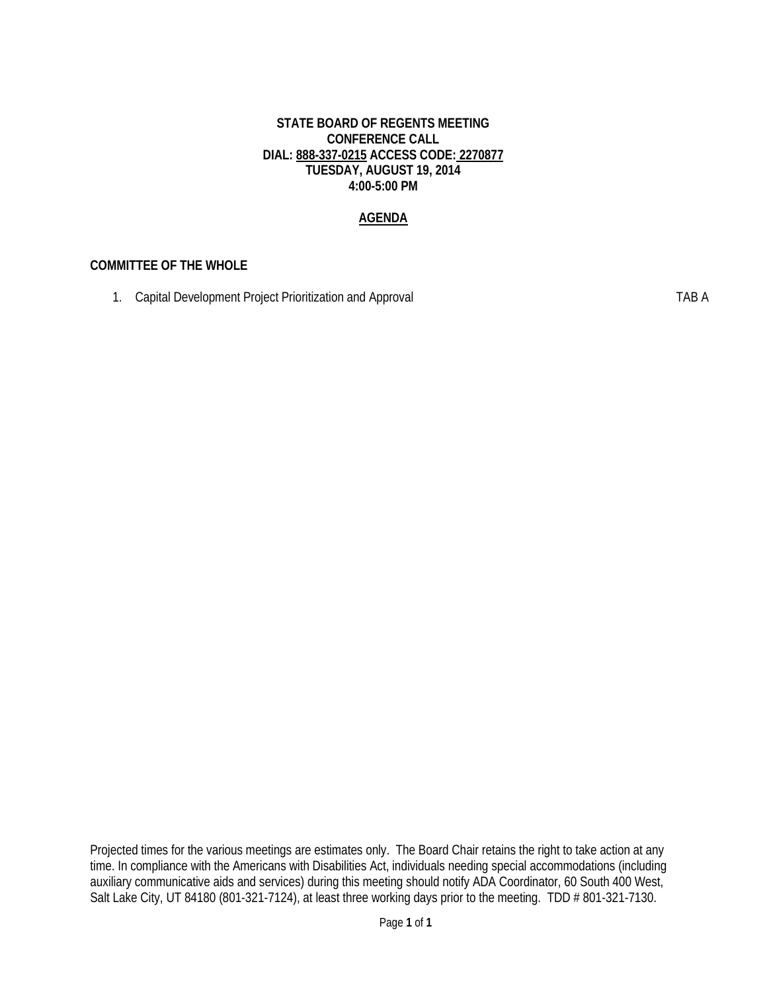#### **STATE BOARD OF REGENTS MEETING CONFERENCE CALL DIAL: 888-337-0215 ACCESS CODE: 2270877 TUESDAY, AUGUST 19, 2014 4:00-5:00 PM**

#### **AGENDA**

#### **COMMITTEE OF THE WHOLE**

1. Capital Development Project Prioritization and Approval **TAB A** 

Projected times for the various meetings are estimates only. The Board Chair retains the right to take action at any time. In compliance with the Americans with Disabilities Act, individuals needing special accommodations (including auxiliary communicative aids and services) during this meeting should notify ADA Coordinator, 60 South 400 West, Salt Lake City, UT 84180 (801-321-7124), at least three working days prior to the meeting. TDD # 801-321-7130.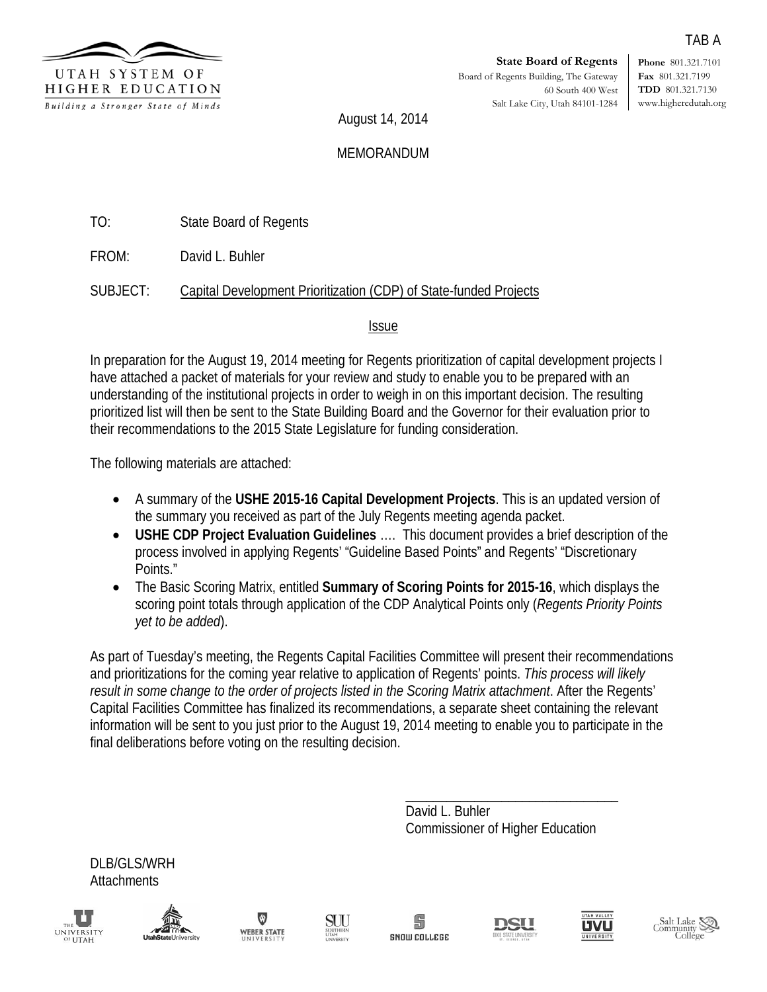

**Phone** 801.321.7101 **Fax** 801.321.7199 **TDD** 801.321.7130 www.higheredutah.org

TAB A

August 14, 2014

#### MEMORANDUM

TO: State Board of Regents

FROM: David L. Buhler

SUBJECT: Capital Development Prioritization (CDP) of State-funded Projects

Issue

In preparation for the August 19, 2014 meeting for Regents prioritization of capital development projects I have attached a packet of materials for your review and study to enable you to be prepared with an understanding of the institutional projects in order to weigh in on this important decision. The resulting prioritized list will then be sent to the State Building Board and the Governor for their evaluation prior to their recommendations to the 2015 State Legislature for funding consideration.

The following materials are attached:

- A summary of the **USHE 2015-16 Capital Development Projects**. This is an updated version of the summary you received as part of the July Regents meeting agenda packet.
- **USHE CDP Project Evaluation Guidelines** …. This document provides a brief description of the process involved in applying Regents' "Guideline Based Points" and Regents' "Discretionary Points."
- The Basic Scoring Matrix, entitled **Summary of Scoring Points for 2015-16**, which displays the scoring point totals through application of the CDP Analytical Points only (*Regents Priority Points yet to be added*).

As part of Tuesday's meeting, the Regents Capital Facilities Committee will present their recommendations and prioritizations for the coming year relative to application of Regents' points. *This process will likely result in some change to the order of projects listed in the Scoring Matrix attachment*. After the Regents' Capital Facilities Committee has finalized its recommendations, a separate sheet containing the relevant information will be sent to you just prior to the August 19, 2014 meeting to enable you to participate in the final deliberations before voting on the resulting decision.

> \_\_\_\_\_\_\_\_\_\_\_\_\_\_\_\_\_\_\_\_\_\_\_\_\_\_\_\_\_\_\_ David L. Buhler Commissioner of Higher Education

DLB/GLS/WRH **Attachments** 









岛 SNOW COLLEGE





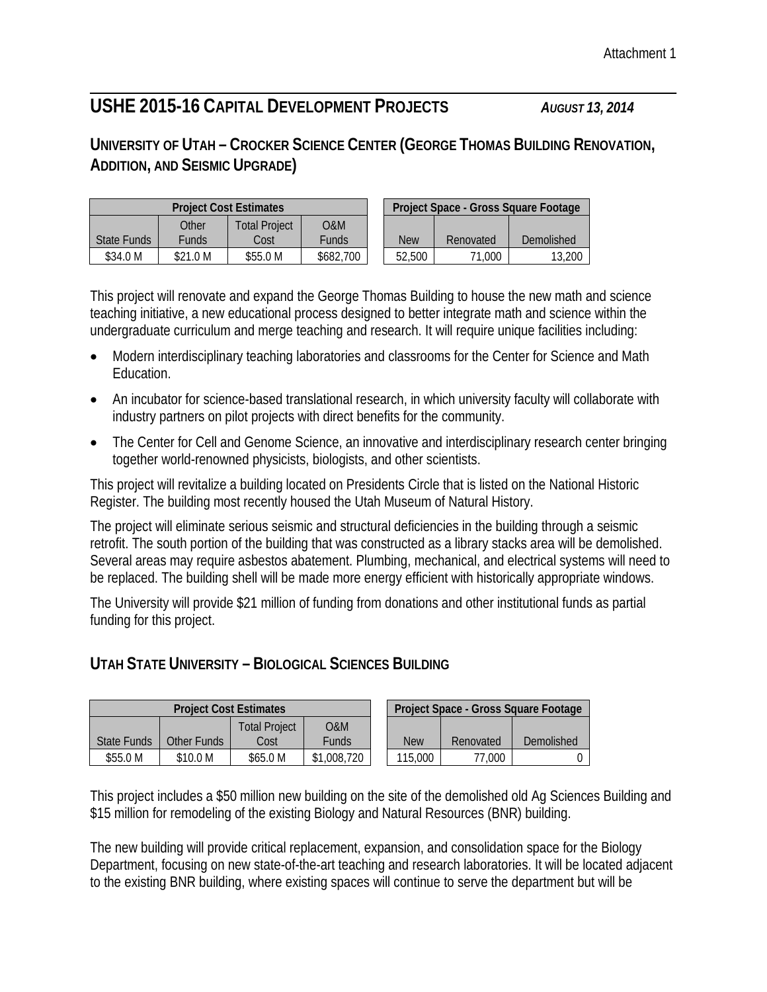## **USHE 2015-16 CAPITAL DEVELOPMENT PROJECTS** *AUGUST 13, 2014*

## **UNIVERSITY OF UTAH – CROCKER SCIENCE CENTER (GEORGE THOMAS BUILDING RENOVATION, ADDITION, AND SEISMIC UPGRADE)**

|             |          | <b>Project Cost Estimates</b> | Project Space - Gross Square Footage |        |           |            |  |  |
|-------------|----------|-------------------------------|--------------------------------------|--------|-----------|------------|--|--|
|             | Other    | <b>Total Project</b>          | O&M                                  |        |           |            |  |  |
| State Funds | Funds    | Cost                          | Funds                                | New    | Renovated | Demolished |  |  |
| \$34.0 M    | \$21.0 M | \$55.0 M                      | \$682.700                            | 52,500 | 71.000    | 13,200     |  |  |

This project will renovate and expand the George Thomas Building to house the new math and science teaching initiative, a new educational process designed to better integrate math and science within the undergraduate curriculum and merge teaching and research. It will require unique facilities including:

- Modern interdisciplinary teaching laboratories and classrooms for the Center for Science and Math Education.
- An incubator for science-based translational research, in which university faculty will collaborate with industry partners on pilot projects with direct benefits for the community.
- The Center for Cell and Genome Science, an innovative and interdisciplinary research center bringing together world-renowned physicists, biologists, and other scientists.

This project will revitalize a building located on Presidents Circle that is listed on the National Historic Register. The building most recently housed the Utah Museum of Natural History.

The project will eliminate serious seismic and structural deficiencies in the building through a seismic retrofit. The south portion of the building that was constructed as a library stacks area will be demolished. Several areas may require asbestos abatement. Plumbing, mechanical, and electrical systems will need to be replaced. The building shell will be made more energy efficient with historically appropriate windows.

The University will provide \$21 million of funding from donations and other institutional funds as partial funding for this project.

## **UTAH STATE UNIVERSITY – BIOLOGICAL SCIENCES BUILDING**

| <b>Project Cost Estimates</b> |             |                      |              |  | Project Space - Gross Square Footage |           |            |  |  |
|-------------------------------|-------------|----------------------|--------------|--|--------------------------------------|-----------|------------|--|--|
|                               |             | <b>Total Project</b> | 0&M          |  |                                      |           |            |  |  |
| State Funds                   | Other Funds | Cost                 | <b>Funds</b> |  | <b>New</b>                           | Renovated | Demolished |  |  |
| \$55.0 M                      | \$10.0 M    | \$65.0 M             | \$1,008,720  |  | 115,000                              | 77.000    |            |  |  |

This project includes a \$50 million new building on the site of the demolished old Ag Sciences Building and \$15 million for remodeling of the existing Biology and Natural Resources (BNR) building.

The new building will provide critical replacement, expansion, and consolidation space for the Biology Department, focusing on new state-of-the-art teaching and research laboratories. It will be located adjacent to the existing BNR building, where existing spaces will continue to serve the department but will be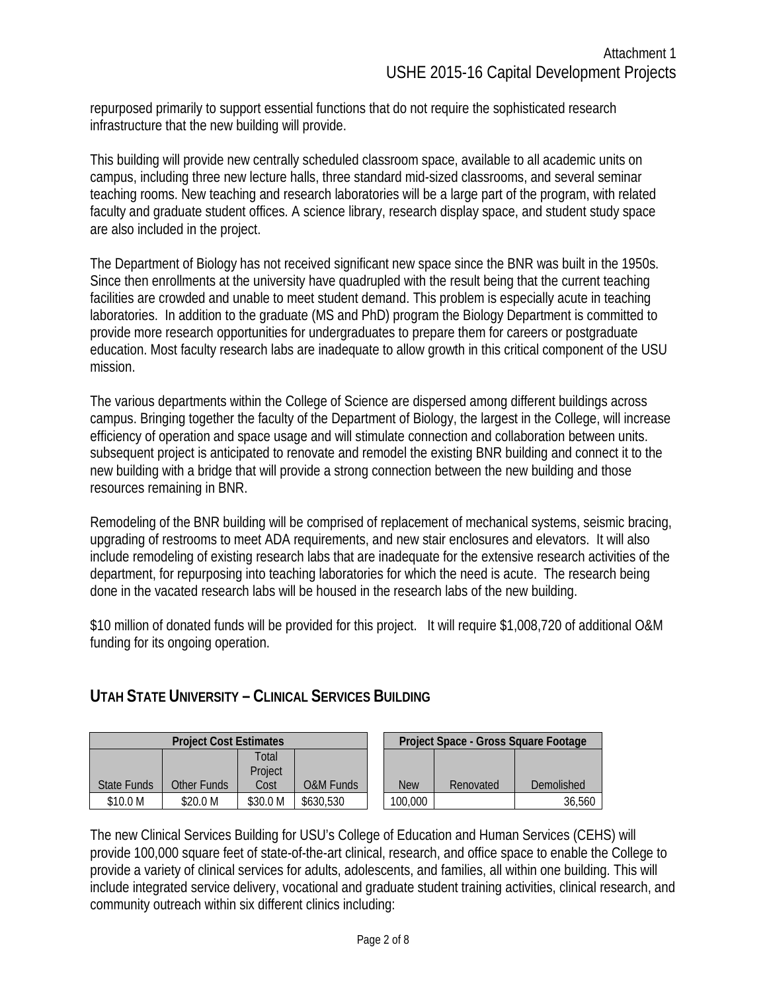repurposed primarily to support essential functions that do not require the sophisticated research infrastructure that the new building will provide.

This building will provide new centrally scheduled classroom space, available to all academic units on campus, including three new lecture halls, three standard mid-sized classrooms, and several seminar teaching rooms. New teaching and research laboratories will be a large part of the program, with related faculty and graduate student offices. A science library, research display space, and student study space are also included in the project.

The Department of Biology has not received significant new space since the BNR was built in the 1950s. Since then enrollments at the university have quadrupled with the result being that the current teaching facilities are crowded and unable to meet student demand. This problem is especially acute in teaching laboratories. In addition to the graduate (MS and PhD) program the Biology Department is committed to provide more research opportunities for undergraduates to prepare them for careers or postgraduate education. Most faculty research labs are inadequate to allow growth in this critical component of the USU mission.

The various departments within the College of Science are dispersed among different buildings across campus. Bringing together the faculty of the Department of Biology, the largest in the College, will increase efficiency of operation and space usage and will stimulate connection and collaboration between units. subsequent project is anticipated to renovate and remodel the existing BNR building and connect it to the new building with a bridge that will provide a strong connection between the new building and those resources remaining in BNR.

Remodeling of the BNR building will be comprised of replacement of mechanical systems, seismic bracing, upgrading of restrooms to meet ADA requirements, and new stair enclosures and elevators. It will also include remodeling of existing research labs that are inadequate for the extensive research activities of the department, for repurposing into teaching laboratories for which the need is acute. The research being done in the vacated research labs will be housed in the research labs of the new building.

\$10 million of donated funds will be provided for this project. It will require \$1,008,720 of additional O&M funding for its ongoing operation.

### **UTAH STATE UNIVERSITY – CLINICAL SERVICES BUILDING**

|             | <b>Project Cost Estimates</b> |          |                      |            | Project Space - Gross Square Footage |            |
|-------------|-------------------------------|----------|----------------------|------------|--------------------------------------|------------|
|             |                               | ⊺otal    |                      |            |                                      |            |
|             |                               | Project  |                      |            |                                      |            |
| State Funds | Other Funds                   | Cost     | <b>O&amp;M Funds</b> | <b>New</b> | Renovated                            | Demolished |
| \$10.0 M    | \$20.0 M                      | \$30.0 M | \$630,530            | 100,000    |                                      | 36,560     |

The new Clinical Services Building for USU's College of Education and Human Services (CEHS) will provide 100,000 square feet of state-of-the-art clinical, research, and office space to enable the College to provide a variety of clinical services for adults, adolescents, and families, all within one building. This will include integrated service delivery, vocational and graduate student training activities, clinical research, and community outreach within six different clinics including: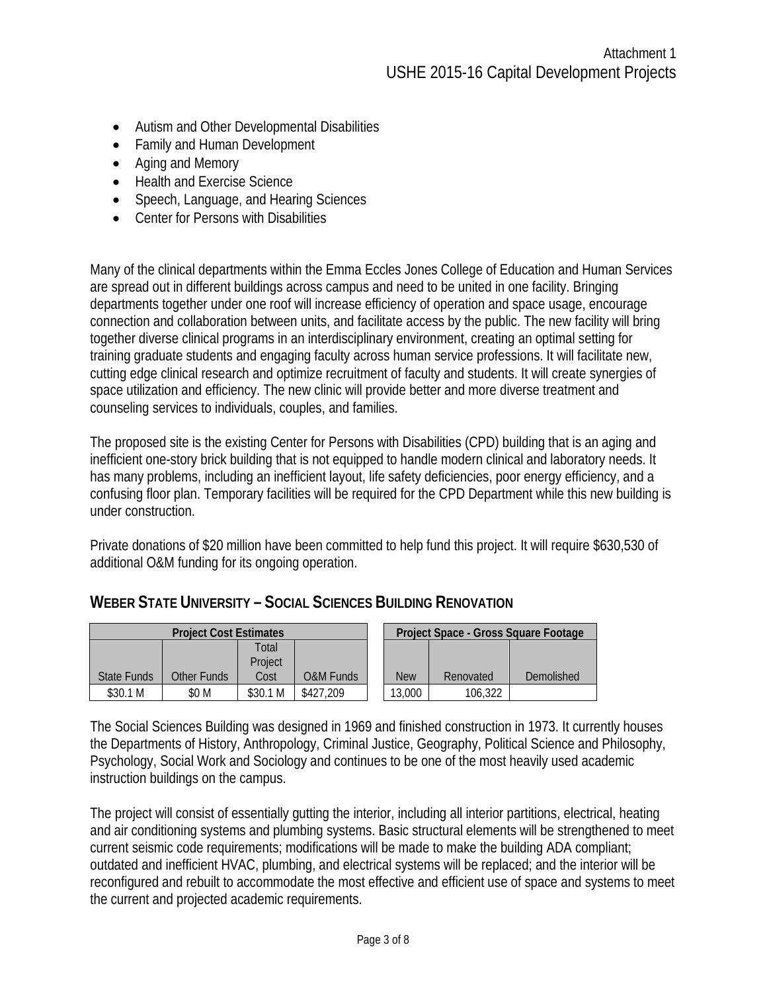- Autism and Other Developmental Disabilities
- Family and Human Development
- Aging and Memory
- Health and Exercise Science
- Speech, Language, and Hearing Sciences
- Center for Persons with Disabilities

Many of the clinical departments within the Emma Eccles Jones College of Education and Human Services are spread out in different buildings across campus and need to be united in one facility. Bringing departments together under one roof will increase efficiency of operation and space usage, encourage connection and collaboration between units, and facilitate access by the public. The new facility will bring together diverse clinical programs in an interdisciplinary environment, creating an optimal setting for training graduate students and engaging faculty across human service professions. It will facilitate new, cutting edge clinical research and optimize recruitment of faculty and students. It will create synergies of space utilization and efficiency. The new clinic will provide better and more diverse treatment and counseling services to individuals, couples, and families.

The proposed site is the existing Center for Persons with Disabilities (CPD) building that is an aging and inefficient one-story brick building that is not equipped to handle modern clinical and laboratory needs. It has many problems, including an inefficient layout, life safety deficiencies, poor energy efficiency, and a confusing floor plan. Temporary facilities will be required for the CPD Department while this new building is under construction.

Private donations of \$20 million have been committed to help fund this project. It will require \$630,530 of additional O&M funding for its ongoing operation.

#### **WEBER STATE UNIVERSITY – SOCIAL SCIENCES BUILDING RENOVATION**

|                    | <b>Project Cost Estimates</b> |          |                      |  | Project Space - Gross Square Footage |           |            |  |
|--------------------|-------------------------------|----------|----------------------|--|--------------------------------------|-----------|------------|--|
|                    |                               | Total    |                      |  |                                      |           |            |  |
|                    |                               | Project  |                      |  |                                      |           |            |  |
| <b>State Funds</b> | Other Funds                   | Cost     | <b>O&amp;M Funds</b> |  | <b>New</b>                           | Renovated | Demolished |  |
| \$30.1 M           | \$0 M                         | \$30.1 M | \$427.209            |  | 13,000                               | 106,322   |            |  |

|            | Project Space - Gross Square Footage |            |  |  |  |  |  |  |  |  |  |
|------------|--------------------------------------|------------|--|--|--|--|--|--|--|--|--|
|            |                                      |            |  |  |  |  |  |  |  |  |  |
| <b>New</b> | Renovated                            | Demolished |  |  |  |  |  |  |  |  |  |
| 13,000     | 106.322                              |            |  |  |  |  |  |  |  |  |  |

The Social Sciences Building was designed in 1969 and finished construction in 1973. It currently houses the Departments of History, Anthropology, Criminal Justice, Geography, Political Science and Philosophy, Psychology, Social Work and Sociology and continues to be one of the most heavily used academic instruction buildings on the campus.

The project will consist of essentially gutting the interior, including all interior partitions, electrical, heating and air conditioning systems and plumbing systems. Basic structural elements will be strengthened to meet current seismic code requirements; modifications will be made to make the building ADA compliant; outdated and inefficient HVAC, plumbing, and electrical systems will be replaced; and the interior will be reconfigured and rebuilt to accommodate the most effective and efficient use of space and systems to meet the current and projected academic requirements.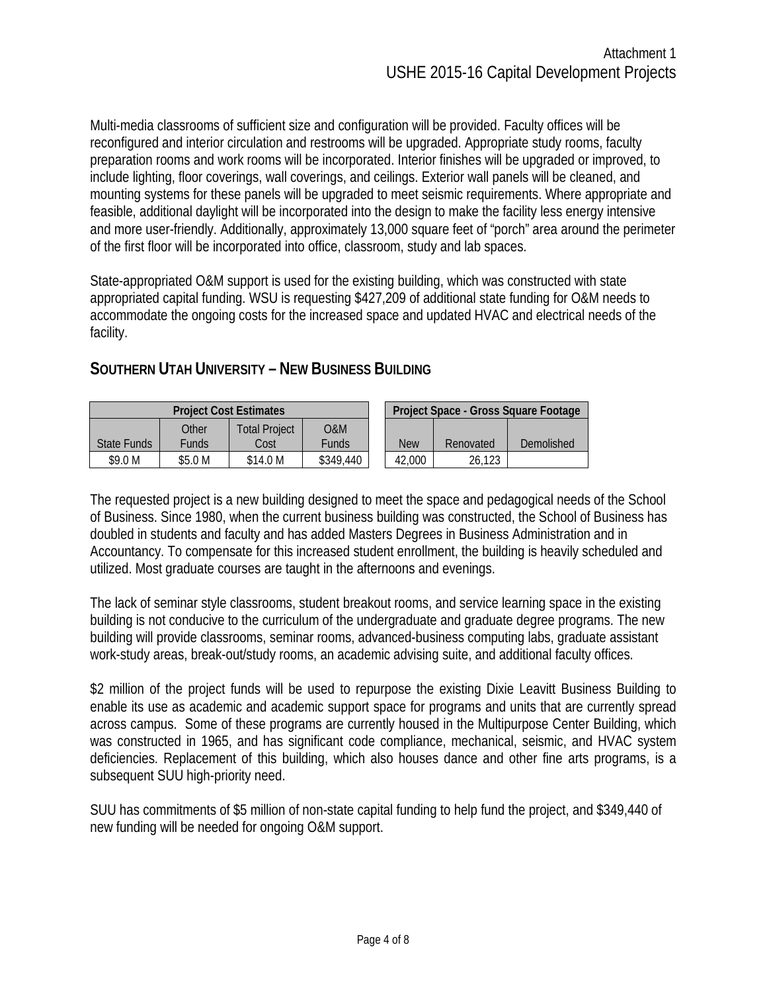Multi-media classrooms of sufficient size and configuration will be provided. Faculty offices will be reconfigured and interior circulation and restrooms will be upgraded. Appropriate study rooms, faculty preparation rooms and work rooms will be incorporated. Interior finishes will be upgraded or improved, to include lighting, floor coverings, wall coverings, and ceilings. Exterior wall panels will be cleaned, and mounting systems for these panels will be upgraded to meet seismic requirements. Where appropriate and feasible, additional daylight will be incorporated into the design to make the facility less energy intensive and more user-friendly. Additionally, approximately 13,000 square feet of "porch" area around the perimeter of the first floor will be incorporated into office, classroom, study and lab spaces.

State-appropriated O&M support is used for the existing building, which was constructed with state appropriated capital funding. WSU is requesting \$427,209 of additional state funding for O&M needs to accommodate the ongoing costs for the increased space and updated HVAC and electrical needs of the facility.

|             |                                         | <b>Project Cost Estimates</b> | Project Space - Gross Square Footage |            |           |            |
|-------------|-----------------------------------------|-------------------------------|--------------------------------------|------------|-----------|------------|
| State Funds | Other<br>Total Proiect<br>Cost<br>Funds |                               | 0&M<br>Funds                         | <b>New</b> | Renovated | Demolished |
| \$9.0 M     | \$5.0 M                                 | \$14.0 M                      | \$349,440                            | 42,000     | 26.123    |            |

## **SOUTHERN UTAH UNIVERSITY – NEW BUSINESS BUILDING**

The requested project is a new building designed to meet the space and pedagogical needs of the School of Business. Since 1980, when the current business building was constructed, the School of Business has doubled in students and faculty and has added Masters Degrees in Business Administration and in Accountancy. To compensate for this increased student enrollment, the building is heavily scheduled and utilized. Most graduate courses are taught in the afternoons and evenings.

The lack of seminar style classrooms, student breakout rooms, and service learning space in the existing building is not conducive to the curriculum of the undergraduate and graduate degree programs. The new building will provide classrooms, seminar rooms, advanced-business computing labs, graduate assistant work-study areas, break-out/study rooms, an academic advising suite, and additional faculty offices.

\$2 million of the project funds will be used to repurpose the existing Dixie Leavitt Business Building to enable its use as academic and academic support space for programs and units that are currently spread across campus. Some of these programs are currently housed in the Multipurpose Center Building, which was constructed in 1965, and has significant code compliance, mechanical, seismic, and HVAC system deficiencies. Replacement of this building, which also houses dance and other fine arts programs, is a subsequent SUU high-priority need.

SUU has commitments of \$5 million of non-state capital funding to help fund the project, and \$349,440 of new funding will be needed for ongoing O&M support.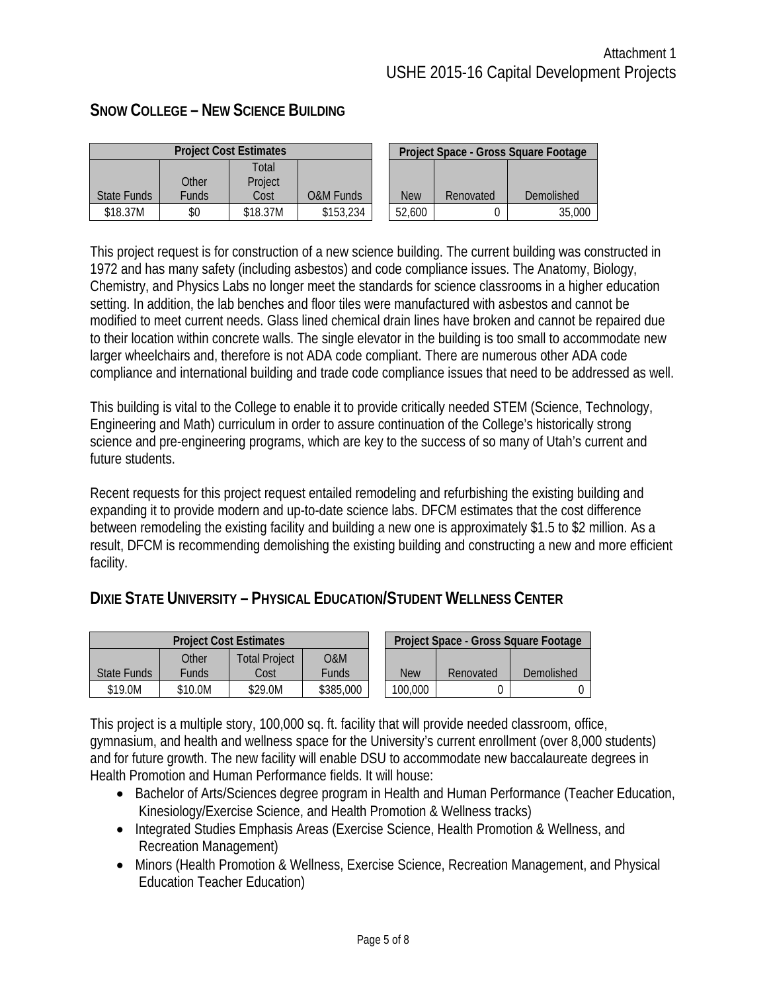|             | <b>Project Cost Estimates</b> |          |                      |  |            | Project Space - Gross Square Footage |            |  |  |
|-------------|-------------------------------|----------|----------------------|--|------------|--------------------------------------|------------|--|--|
|             |                               | Total    |                      |  |            |                                      |            |  |  |
|             | Other                         | Project  |                      |  |            |                                      |            |  |  |
| State Funds | <b>Funds</b>                  | Cost     | <b>O&amp;M Funds</b> |  | <b>New</b> | Renovated                            | Demolished |  |  |
| \$18.37M    | \$0                           | \$18.37M | \$153,234            |  | 52,600     |                                      | 35,000     |  |  |

#### **SNOW COLLEGE – NEW SCIENCE BUILDING**

This project request is for construction of a new science building. The current building was constructed in 1972 and has many safety (including asbestos) and code compliance issues. The Anatomy, Biology, Chemistry, and Physics Labs no longer meet the standards for science classrooms in a higher education setting. In addition, the lab benches and floor tiles were manufactured with asbestos and cannot be modified to meet current needs. Glass lined chemical drain lines have broken and cannot be repaired due to their location within concrete walls. The single elevator in the building is too small to accommodate new larger wheelchairs and, therefore is not ADA code compliant. There are numerous other ADA code compliance and international building and trade code compliance issues that need to be addressed as well.

This building is vital to the College to enable it to provide critically needed STEM (Science, Technology, Engineering and Math) curriculum in order to assure continuation of the College's historically strong science and pre-engineering programs, which are key to the success of so many of Utah's current and future students.

Recent requests for this project request entailed remodeling and refurbishing the existing building and expanding it to provide modern and up-to-date science labs. DFCM estimates that the cost difference between remodeling the existing facility and building a new one is approximately \$1.5 to \$2 million. As a result, DFCM is recommending demolishing the existing building and constructing a new and more efficient facility.

### **DIXIE STATE UNIVERSITY – PHYSICAL EDUCATION/STUDENT WELLNESS CENTER**

| <b>Project Cost Estimates</b> |              |                      |           |  | Project Space - Gross Square Footage |           |            |  |  |
|-------------------------------|--------------|----------------------|-----------|--|--------------------------------------|-----------|------------|--|--|
|                               | Other        | <b>Total Proiect</b> | O&M       |  |                                      |           |            |  |  |
| State Funds                   | <b>Funds</b> | Cost                 | Funds     |  | <b>New</b>                           | Renovated | Demolished |  |  |
| \$19.0M                       | \$10.0M      | \$29.0M              | \$385,000 |  | 100,000                              |           |            |  |  |

This project is a multiple story, 100,000 sq. ft. facility that will provide needed classroom, office, gymnasium, and health and wellness space for the University's current enrollment (over 8,000 students) and for future growth. The new facility will enable DSU to accommodate new baccalaureate degrees in Health Promotion and Human Performance fields. It will house:

- Bachelor of Arts/Sciences degree program in Health and Human Performance (Teacher Education, Kinesiology/Exercise Science, and Health Promotion & Wellness tracks)
- Integrated Studies Emphasis Areas (Exercise Science, Health Promotion & Wellness, and Recreation Management)
- Minors (Health Promotion & Wellness, Exercise Science, Recreation Management, and Physical Education Teacher Education)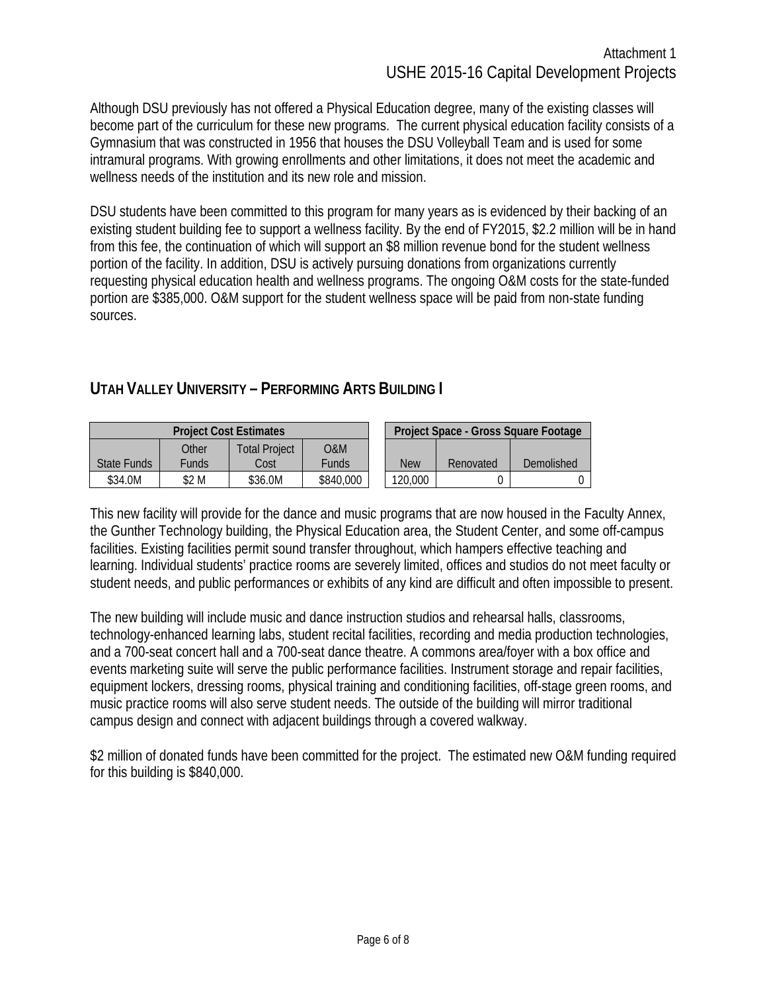Although DSU previously has not offered a Physical Education degree, many of the existing classes will become part of the curriculum for these new programs. The current physical education facility consists of a Gymnasium that was constructed in 1956 that houses the DSU Volleyball Team and is used for some intramural programs. With growing enrollments and other limitations, it does not meet the academic and wellness needs of the institution and its new role and mission.

DSU students have been committed to this program for many years as is evidenced by their backing of an existing student building fee to support a wellness facility. By the end of FY2015, \$2.2 million will be in hand from this fee, the continuation of which will support an \$8 million revenue bond for the student wellness portion of the facility. In addition, DSU is actively pursuing donations from organizations currently requesting physical education health and wellness programs. The ongoing O&M costs for the state-funded portion are \$385,000. O&M support for the student wellness space will be paid from non-state funding sources.

## **UTAH VALLEY UNIVERSITY – PERFORMING ARTS BUILDING I**

| <b>Project Cost Estimates</b> |                |                              |              |  | Project Space - Gross Square Footage |           |            |  |  |
|-------------------------------|----------------|------------------------------|--------------|--|--------------------------------------|-----------|------------|--|--|
| State Funds                   | Other<br>Funds | <b>Total Project</b><br>Cost | O&M<br>Funds |  | <b>New</b>                           | Renovated | Demolished |  |  |
| \$34.0M                       | \$2 M          | \$36.0M                      | \$840,000    |  | 120,000                              |           |            |  |  |

This new facility will provide for the dance and music programs that are now housed in the Faculty Annex, the Gunther Technology building, the Physical Education area, the Student Center, and some off-campus facilities. Existing facilities permit sound transfer throughout, which hampers effective teaching and learning. Individual students' practice rooms are severely limited, offices and studios do not meet faculty or student needs, and public performances or exhibits of any kind are difficult and often impossible to present.

The new building will include music and dance instruction studios and rehearsal halls, classrooms, technology-enhanced learning labs, student recital facilities, recording and media production technologies, and a 700-seat concert hall and a 700-seat dance theatre. A commons area/foyer with a box office and events marketing suite will serve the public performance facilities. Instrument storage and repair facilities, equipment lockers, dressing rooms, physical training and conditioning facilities, off-stage green rooms, and music practice rooms will also serve student needs. The outside of the building will mirror traditional campus design and connect with adjacent buildings through a covered walkway.

\$2 million of donated funds have been committed for the project. The estimated new O&M funding required for this building is \$840,000.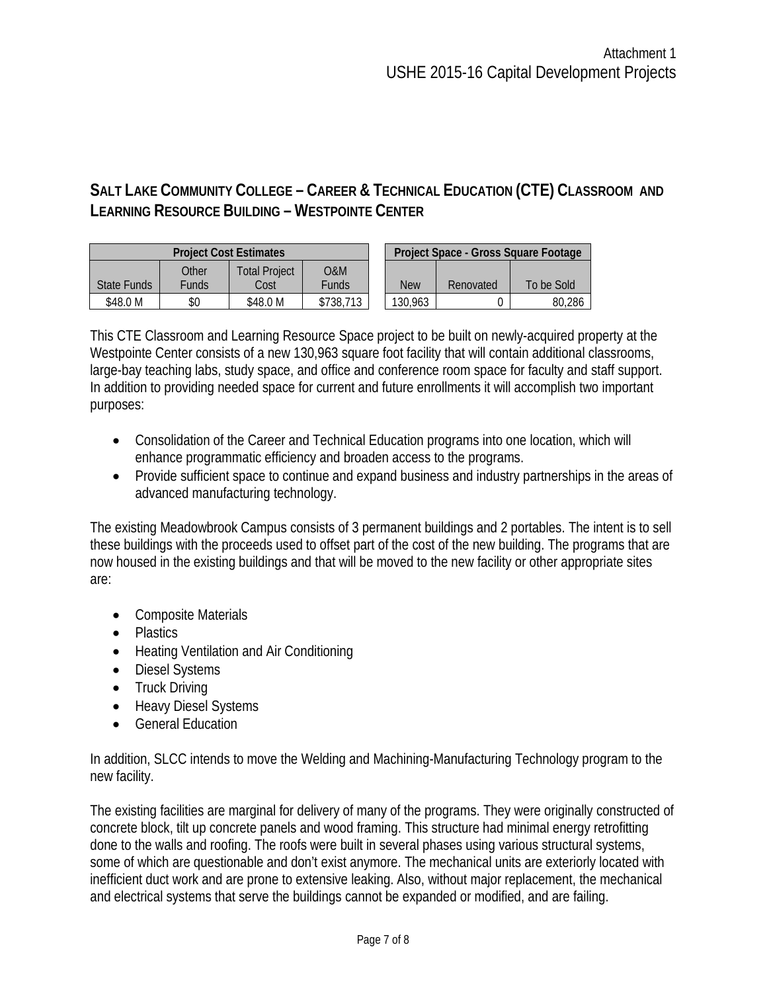## **SALT LAKE COMMUNITY COLLEGE – CAREER & TECHNICAL EDUCATION (CTE) CLASSROOM AND LEARNING RESOURCE BUILDING – WESTPOINTE CENTER**

|             |       | <b>Project Cost Estimates</b> | Project Space - Gross Square Footage |            |           |            |  |  |
|-------------|-------|-------------------------------|--------------------------------------|------------|-----------|------------|--|--|
|             | Other | Total Project                 | O&M                                  |            |           |            |  |  |
| State Funds | Funds | Cost                          | <b>Funds</b>                         | <b>New</b> | Renovated | To be Sold |  |  |
| \$48.0 M    | \$0   | \$48.0 M                      | \$738,713                            | 130,963    |           | 80,286     |  |  |

This CTE Classroom and Learning Resource Space project to be built on newly-acquired property at the Westpointe Center consists of a new 130,963 square foot facility that will contain additional classrooms, large-bay teaching labs, study space, and office and conference room space for faculty and staff support. In addition to providing needed space for current and future enrollments it will accomplish two important purposes:

- Consolidation of the Career and Technical Education programs into one location, which will enhance programmatic efficiency and broaden access to the programs.
- Provide sufficient space to continue and expand business and industry partnerships in the areas of advanced manufacturing technology.

The existing Meadowbrook Campus consists of 3 permanent buildings and 2 portables. The intent is to sell these buildings with the proceeds used to offset part of the cost of the new building. The programs that are now housed in the existing buildings and that will be moved to the new facility or other appropriate sites are:

- Composite Materials
- Plastics
- Heating Ventilation and Air Conditioning
- Diesel Systems
- Truck Driving
- Heavy Diesel Systems
- General Education

In addition, SLCC intends to move the Welding and Machining-Manufacturing Technology program to the new facility.

The existing facilities are marginal for delivery of many of the programs. They were originally constructed of concrete block, tilt up concrete panels and wood framing. This structure had minimal energy retrofitting done to the walls and roofing. The roofs were built in several phases using various structural systems, some of which are questionable and don't exist anymore. The mechanical units are exteriorly located with inefficient duct work and are prone to extensive leaking. Also, without major replacement, the mechanical and electrical systems that serve the buildings cannot be expanded or modified, and are failing.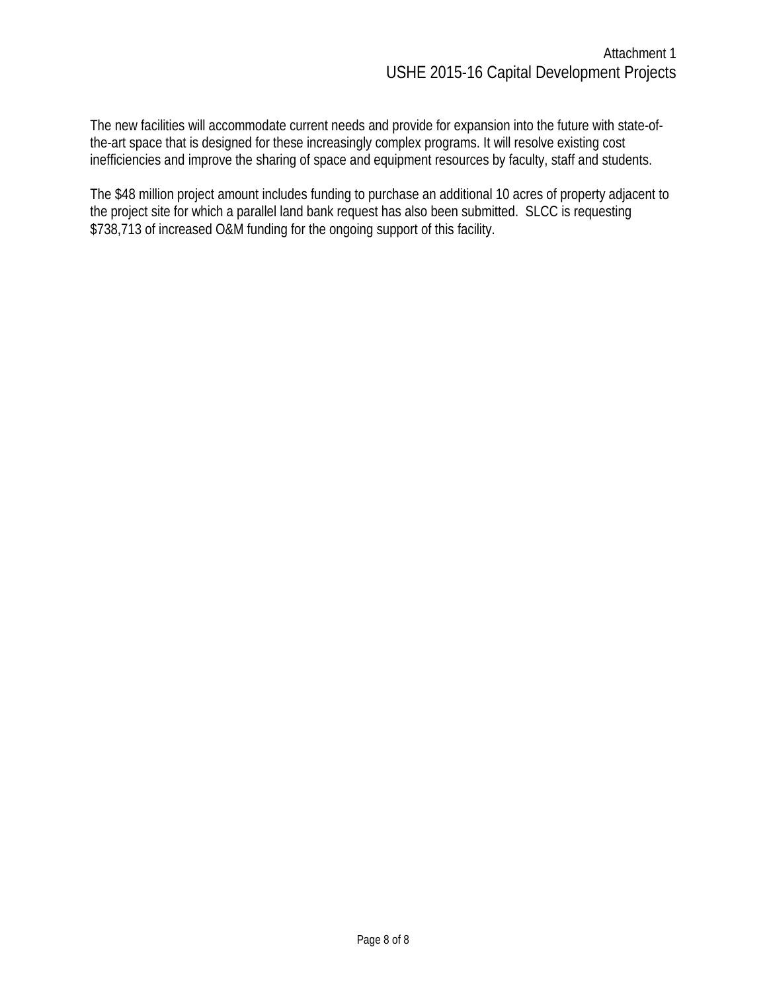The new facilities will accommodate current needs and provide for expansion into the future with state-ofthe-art space that is designed for these increasingly complex programs. It will resolve existing cost inefficiencies and improve the sharing of space and equipment resources by faculty, staff and students.

The \$48 million project amount includes funding to purchase an additional 10 acres of property adjacent to the project site for which a parallel land bank request has also been submitted. SLCC is requesting \$738,713 of increased O&M funding for the ongoing support of this facility.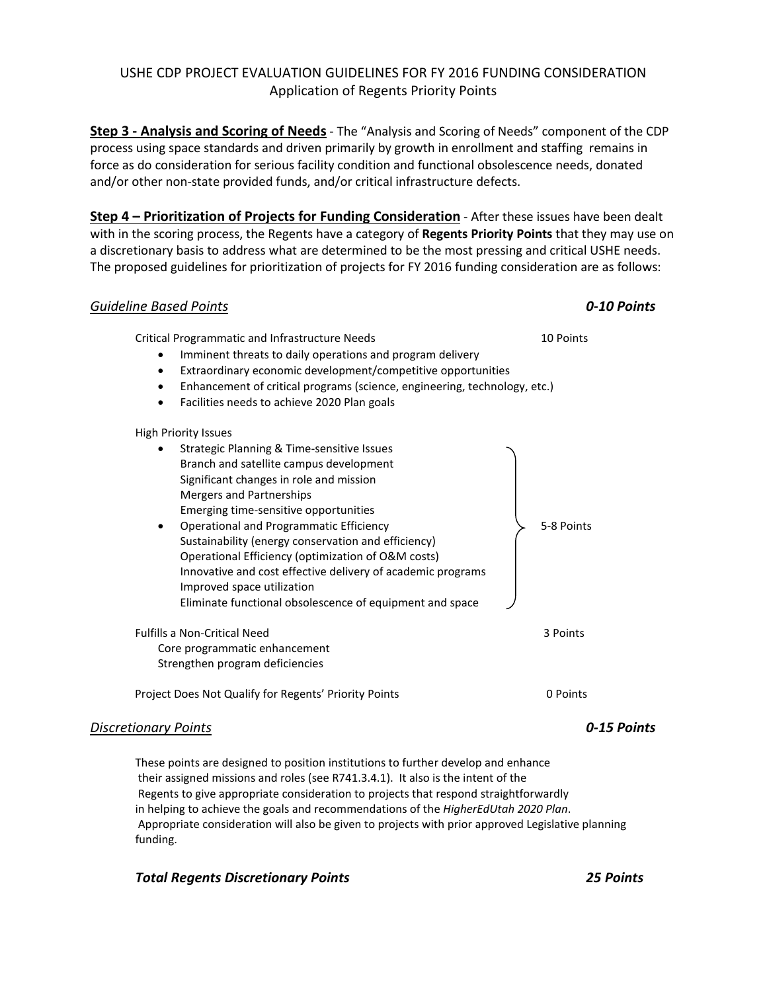#### USHE CDP PROJECT EVALUATION GUIDELINES FOR FY 2016 FUNDING CONSIDERATION Application of Regents Priority Points

**Step 3 - Analysis and Scoring of Needs** - The "Analysis and Scoring of Needs" component of the CDP process using space standards and driven primarily by growth in enrollment and staffing remains in force as do consideration for serious facility condition and functional obsolescence needs, donated and/or other non-state provided funds, and/or critical infrastructure defects.

**Step 4 – Prioritization of Projects for Funding Consideration** - After these issues have been dealt with in the scoring process, the Regents have a category of **Regents Priority Points** that they may use on a discretionary basis to address what are determined to be the most pressing and critical USHE needs. The proposed guidelines for prioritization of projects for FY 2016 funding consideration are as follows:

#### *Guideline Based Points 0-10 Points*

Critical Programmatic and Infrastructure Needs 10 Points

- Imminent threats to daily operations and program delivery
- Extraordinary economic development/competitive opportunities
- Enhancement of critical programs (science, engineering, technology, etc.)
- Facilities needs to achieve 2020 Plan goals

#### High Priority Issues

| Strategic Planning & Time-sensitive Issues                  |            |  |
|-------------------------------------------------------------|------------|--|
| Branch and satellite campus development                     |            |  |
| Significant changes in role and mission                     |            |  |
| Mergers and Partnerships                                    |            |  |
| Emerging time-sensitive opportunities                       |            |  |
| Operational and Programmatic Efficiency                     | 5-8 Points |  |
| Sustainability (energy conservation and efficiency)         |            |  |
| Operational Efficiency (optimization of O&M costs)          |            |  |
| Innovative and cost effective delivery of academic programs |            |  |
| Improved space utilization                                  |            |  |
| Eliminate functional obsolescence of equipment and space    |            |  |
| Fulfills a Non-Critical Need                                | 3 Points   |  |
| Core programmatic enhancement                               |            |  |
| Strengthen program deficiencies                             |            |  |
|                                                             |            |  |

Project Does Not Qualify for Regents' Priority Points 0 Points

#### *Discretionary Points 0-15 Points*

These points are designed to position institutions to further develop and enhance their assigned missions and roles (see R741.3.4.1). It also is the intent of the Regents to give appropriate consideration to projects that respond straightforwardly in helping to achieve the goals and recommendations of the *HigherEdUtah 2020 Plan*. Appropriate consideration will also be given to projects with prior approved Legislative planning funding.

#### *Total Regents Discretionary Points 25 Points*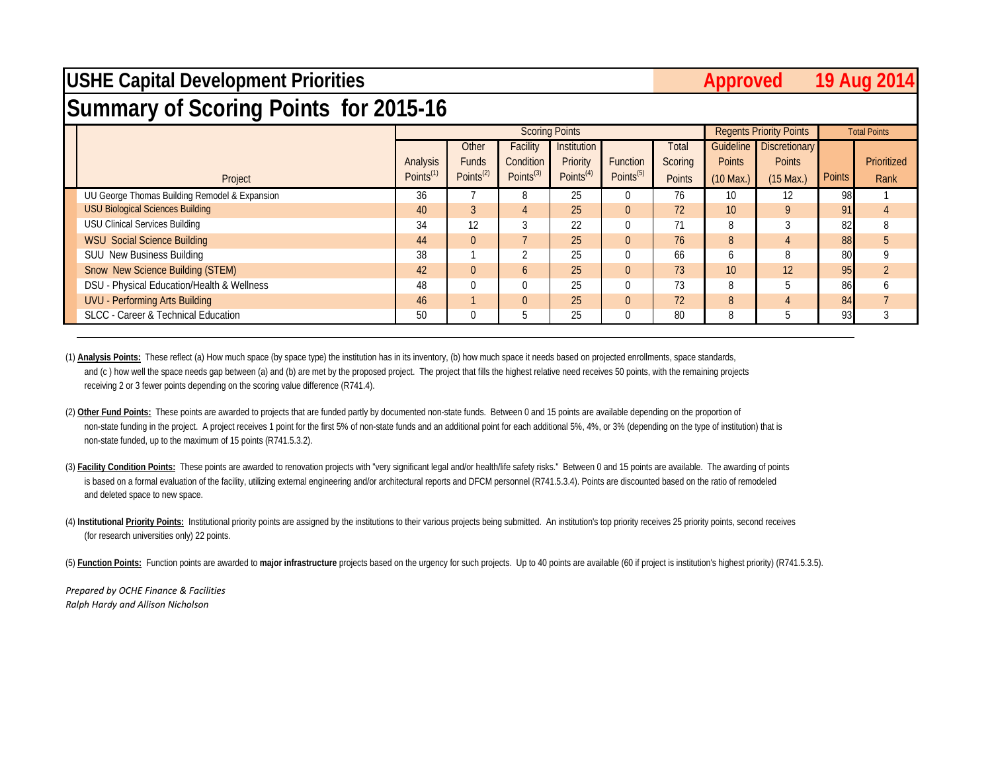## **USHE Capital Development Priorities**

### Approved 19 Aug 20<sup>1</sup>

# **Summary of Scoring Points for 2015-16**

|                                               |                       |                       |                 | <b>Scoring Points</b> |                       |               |               | <b>Regents Priority Points</b> |        | <b>Total Points</b> |
|-----------------------------------------------|-----------------------|-----------------------|-----------------|-----------------------|-----------------------|---------------|---------------|--------------------------------|--------|---------------------|
|                                               |                       | Other                 | Facility        | Institution           |                       | Total         |               | Guideline Discretionary        |        |                     |
|                                               | Analysis              | <b>Funds</b>          | Condition       | Priority              | Function              | Scoring       | <b>Points</b> | <b>Points</b>                  |        | Prioritized         |
| Project                                       | Points <sup>(1)</sup> | Points <sup>(2)</sup> | Points $^{(3)}$ | Points <sup>(4)</sup> | Points <sup>(5)</sup> | <b>Points</b> | $(10$ Max.)   | $(15$ Max.)                    | Points | Rank                |
| UU George Thomas Building Remodel & Expansion | 36                    |                       | 8               | 25                    |                       | 76            | 10            | 12                             | 98     |                     |
| <b>USU Biological Sciences Building</b>       | 40                    |                       |                 | 25                    |                       | 72            | 10            | $\mathsf{Q}$                   | 91     |                     |
| <b>USU Clinical Services Building</b>         | 34                    | 12                    |                 | 22                    |                       |               | 8             |                                | 82     |                     |
| <b>WSU Social Science Building</b>            | 44                    | $\Omega$              |                 | 25                    | $\Omega$              | 76            | 8             | $\overline{4}$                 | 88     |                     |
| <b>SUU New Business Building</b>              | 38                    |                       |                 | 25                    |                       | 66            | $\mathfrak b$ |                                | 80     |                     |
| Snow New Science Building (STEM)              | 42                    | $\Omega$              | $\sigma$        | 25                    |                       | 73            | 10            | 12                             | 95     |                     |
| DSU - Physical Education/Health & Wellness    | 48                    |                       | $\Omega$        | 25                    |                       | 73            | 8             |                                | 86     |                     |
| UVU - Performing Arts Building                | 46                    |                       | $\Omega$        | 25                    |                       | 72            | 8             |                                | 84     |                     |
| SLCC - Career & Technical Education           | 50                    |                       | .5              | 25                    |                       | 80            |               |                                | 93     |                     |

(1) **Analysis Points:** These reflect (a) How much space (by space type) the institution has in its inventory, (b) how much space it needs based on projected enrollments, space standards, and (c) how well the space needs gap between (a) and (b) are met by the proposed project. The project that fills the highest relative need receives 50 points, with the remaining projects receiving 2 or 3 fewer points depending on the scoring value difference (R741.4).

(2) Other Fund Points: These points are awarded to projects that are funded partly by documented non-state funds. Between 0 and 15 points are available depending on the proportion of non-state funding in the project. A project receives 1 point for the first 5% of non-state funds and an additional point for each additional 5%, 4%, or 3% (depending on the type of institution) that is non-state funded, up to the maximum of 15 points (R741.5.3.2).

(3) Facility Condition Points: These points are awarded to renovation projects with "very significant legal and/or health/life safety risks." Between 0 and 15 points are available. The awarding of points is based on a formal evaluation of the facility, utilizing external engineering and/or architectural reports and DFCM personnel (R741.5.3.4). Points are discounted based on the ratio of remodeled and deleted space to new space.

(4) Institutional Priority Points: Institutional priority points are assigned by the institutions to their various projects being submitted. An institution's top priority receives 25 priority points, second receives (for research universities only) 22 points.

(5) Function Points: Function points are awarded to major infrastructure projects based on the urgency for such projects. Up to 40 points are available (60 if project is institution's highest priority) (R741.5.3.5).

*Prepared by OCHE Finance & Facilities Ralph Hardy and Allison Nicholson*